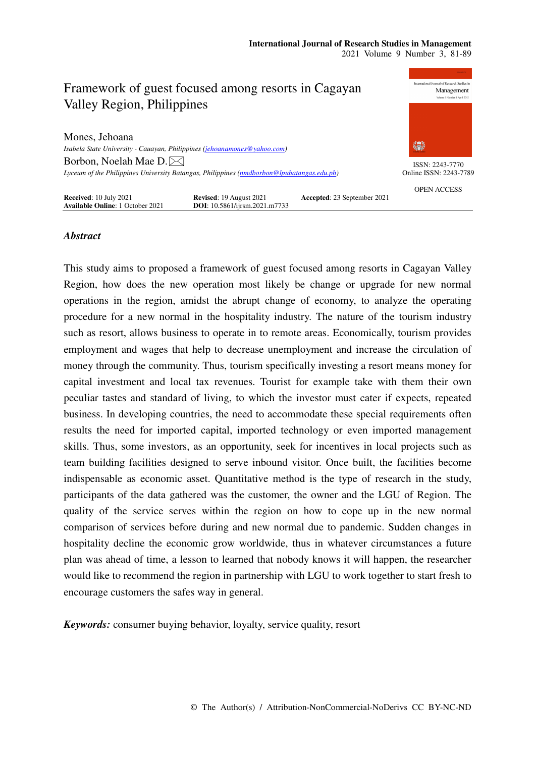

# *Abstract*

This study aims to proposed a framework of guest focused among resorts in Cagayan Valley Region, how does the new operation most likely be change or upgrade for new normal operations in the region, amidst the abrupt change of economy, to analyze the operating procedure for a new normal in the hospitality industry. The nature of the tourism industry such as resort, allows business to operate in to remote areas. Economically, tourism provides employment and wages that help to decrease unemployment and increase the circulation of money through the community. Thus, tourism specifically investing a resort means money for capital investment and local tax revenues. Tourist for example take with them their own peculiar tastes and standard of living, to which the investor must cater if expects, repeated business. In developing countries, the need to accommodate these special requirements often results the need for imported capital, imported technology or even imported management skills. Thus, some investors, as an opportunity, seek for incentives in local projects such as team building facilities designed to serve inbound visitor. Once built, the facilities become indispensable as economic asset. Quantitative method is the type of research in the study, participants of the data gathered was the customer, the owner and the LGU of Region. The quality of the service serves within the region on how to cope up in the new normal comparison of services before during and new normal due to pandemic. Sudden changes in hospitality decline the economic grow worldwide, thus in whatever circumstances a future plan was ahead of time, a lesson to learned that nobody knows it will happen, the researcher would like to recommend the region in partnership with LGU to work together to start fresh to encourage customers the safes way in general.

*Keywords:* consumer buying behavior, loyalty, service quality, resort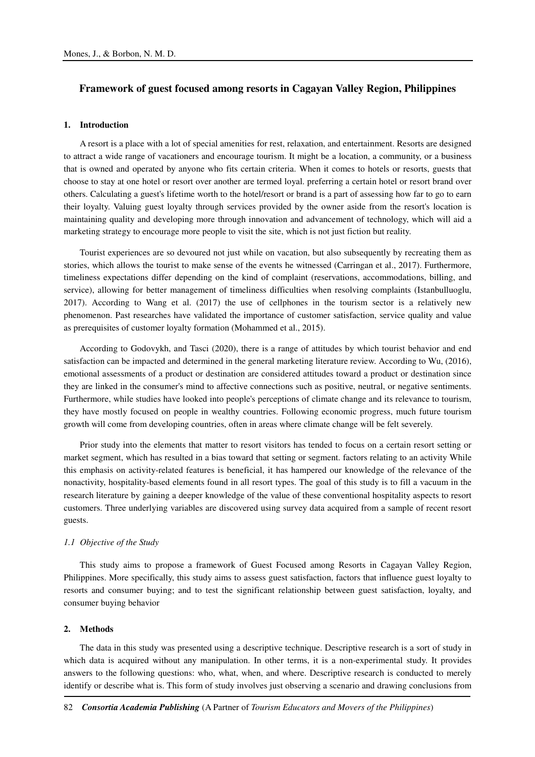## **Framework of guest focused among resorts in Cagayan Valley Region, Philippines**

## **1. Introduction**

A resort is a place with a lot of special amenities for rest, relaxation, and entertainment. Resorts are designed to attract a wide range of vacationers and encourage tourism. It might be a location, a community, or a business that is owned and operated by anyone who fits certain criteria. When it comes to hotels or resorts, guests that choose to stay at one hotel or resort over another are termed loyal. preferring a certain hotel or resort brand over others. Calculating a guest's lifetime worth to the hotel/resort or brand is a part of assessing how far to go to earn their loyalty. Valuing guest loyalty through services provided by the owner aside from the resort's location is maintaining quality and developing more through innovation and advancement of technology, which will aid a marketing strategy to encourage more people to visit the site, which is not just fiction but reality.

Tourist experiences are so devoured not just while on vacation, but also subsequently by recreating them as stories, which allows the tourist to make sense of the events he witnessed (Carringan et al., 2017). Furthermore, timeliness expectations differ depending on the kind of complaint (reservations, accommodations, billing, and service), allowing for better management of timeliness difficulties when resolving complaints (Istanbulluoglu, 2017). According to Wang et al. (2017) the use of cellphones in the tourism sector is a relatively new phenomenon. Past researches have validated the importance of customer satisfaction, service quality and value as prerequisites of customer loyalty formation (Mohammed et al., 2015).

According to Godovykh, and Tasci (2020), there is a range of attitudes by which tourist behavior and end satisfaction can be impacted and determined in the general marketing literature review. According to Wu, (2016), emotional assessments of a product or destination are considered attitudes toward a product or destination since they are linked in the consumer's mind to affective connections such as positive, neutral, or negative sentiments. Furthermore, while studies have looked into people's perceptions of climate change and its relevance to tourism, they have mostly focused on people in wealthy countries. Following economic progress, much future tourism growth will come from developing countries, often in areas where climate change will be felt severely.

Prior study into the elements that matter to resort visitors has tended to focus on a certain resort setting or market segment, which has resulted in a bias toward that setting or segment. factors relating to an activity While this emphasis on activity-related features is beneficial, it has hampered our knowledge of the relevance of the nonactivity, hospitality-based elements found in all resort types. The goal of this study is to fill a vacuum in the research literature by gaining a deeper knowledge of the value of these conventional hospitality aspects to resort customers. Three underlying variables are discovered using survey data acquired from a sample of recent resort guests.

#### *1.1 Objective of the Study*

This study aims to propose a framework of Guest Focused among Resorts in Cagayan Valley Region, Philippines. More specifically, this study aims to assess guest satisfaction, factors that influence guest loyalty to resorts and consumer buying; and to test the significant relationship between guest satisfaction, loyalty, and consumer buying behavior

#### **2. Methods**

The data in this study was presented using a descriptive technique. Descriptive research is a sort of study in which data is acquired without any manipulation. In other terms, it is a non-experimental study. It provides answers to the following questions: who, what, when, and where. Descriptive research is conducted to merely identify or describe what is. This form of study involves just observing a scenario and drawing conclusions from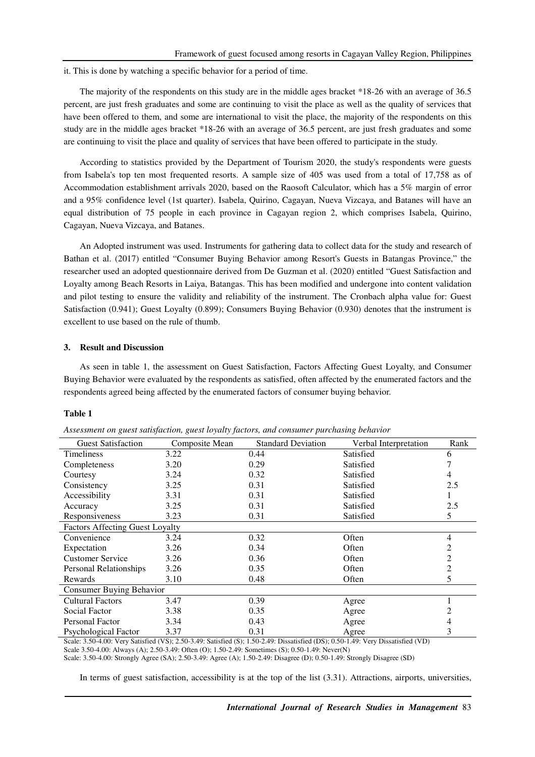it. This is done by watching a specific behavior for a period of time.

The majority of the respondents on this study are in the middle ages bracket \*18-26 with an average of 36.5 percent, are just fresh graduates and some are continuing to visit the place as well as the quality of services that have been offered to them, and some are international to visit the place, the majority of the respondents on this study are in the middle ages bracket \*18-26 with an average of 36.5 percent, are just fresh graduates and some are continuing to visit the place and quality of services that have been offered to participate in the study.

According to statistics provided by the Department of Tourism 2020, the study's respondents were guests from Isabela's top ten most frequented resorts. A sample size of 405 was used from a total of 17,758 as of Accommodation establishment arrivals 2020, based on the Raosoft Calculator, which has a 5% margin of error and a 95% confidence level (1st quarter). Isabela, Quirino, Cagayan, Nueva Vizcaya, and Batanes will have an equal distribution of 75 people in each province in Cagayan region 2, which comprises Isabela, Quirino, Cagayan, Nueva Vizcaya, and Batanes.

An Adopted instrument was used. Instruments for gathering data to collect data for the study and research of Bathan et al. (2017) entitled "Consumer Buying Behavior among Resort's Guests in Batangas Province," the researcher used an adopted questionnaire derived from De Guzman et al. (2020) entitled "Guest Satisfaction and Loyalty among Beach Resorts in Laiya, Batangas. This has been modified and undergone into content validation and pilot testing to ensure the validity and reliability of the instrument. The Cronbach alpha value for: Guest Satisfaction (0.941); Guest Loyalty (0.899); Consumers Buying Behavior (0.930) denotes that the instrument is excellent to use based on the rule of thumb.

### **3. Result and Discussion**

As seen in table 1, the assessment on Guest Satisfaction, Factors Affecting Guest Loyalty, and Consumer Buying Behavior were evaluated by the respondents as satisfied, often affected by the enumerated factors and the respondents agreed being affected by the enumerated factors of consumer buying behavior.

#### **Table 1**

| <b>Guest Satisfaction</b>              | Composite Mean | <b>Standard Deviation</b> | Verbal Interpretation | Rank           |
|----------------------------------------|----------------|---------------------------|-----------------------|----------------|
| <b>Timeliness</b>                      | 3.22           | 0.44                      | Satisfied             | 6              |
| Completeness                           | 3.20           | 0.29                      | Satisfied             |                |
| Courtesy                               | 3.24           | 0.32                      | Satisfied             | 4              |
| Consistency                            | 3.25           | 0.31                      | Satisfied             | 2.5            |
| Accessibility                          | 3.31           | 0.31                      | Satisfied             |                |
| Accuracy                               | 3.25           | 0.31                      | Satisfied             | 2.5            |
| Responsiveness                         | 3.23           | 0.31                      | Satisfied             | 5              |
| <b>Factors Affecting Guest Loyalty</b> |                |                           |                       |                |
| Convenience                            | 3.24           | 0.32                      | Often                 | 4              |
| Expectation                            | 3.26           | 0.34                      | Often                 | $\overline{c}$ |
| <b>Customer Service</b>                | 3.26           | 0.36                      | Often                 | 2              |
| Personal Relationships                 | 3.26           | 0.35                      | Often                 | 2              |
| Rewards                                | 3.10           | 0.48                      | Often                 | 5              |
| Consumer Buying Behavior               |                |                           |                       |                |
| <b>Cultural Factors</b>                | 3.47           | 0.39                      | Agree                 |                |
| Social Factor                          | 3.38           | 0.35                      | Agree                 | 2              |
| <b>Personal Factor</b>                 | 3.34           | 0.43                      | Agree                 | 4              |
| Psychological Factor                   | 3.37           | 0.31                      | Agree                 | 3              |

*Assessment on guest satisfaction, guest loyalty factors, and consumer purchasing behavior* 

Scale: 3.50-4.00: Very Satisfied (VS); 2.50-3.49: Satisfied (S); 1.50-2.49: Dissatisfied (DS); 0.50-1.49: Very Dissatisfied (VD) Scale 3.50-4.00: Always (A); 2.50-3.49: Often (O); 1.50-2.49: Sometimes (S); 0.50-1.49: Never(N)

Scale: 3.50-4.00: Strongly Agree (SA); 2.50-3.49: Agree (A); 1.50-2.49: Disagree (D); 0.50-1.49: Strongly Disagree (SD)

In terms of guest satisfaction, accessibility is at the top of the list (3.31). Attractions, airports, universities,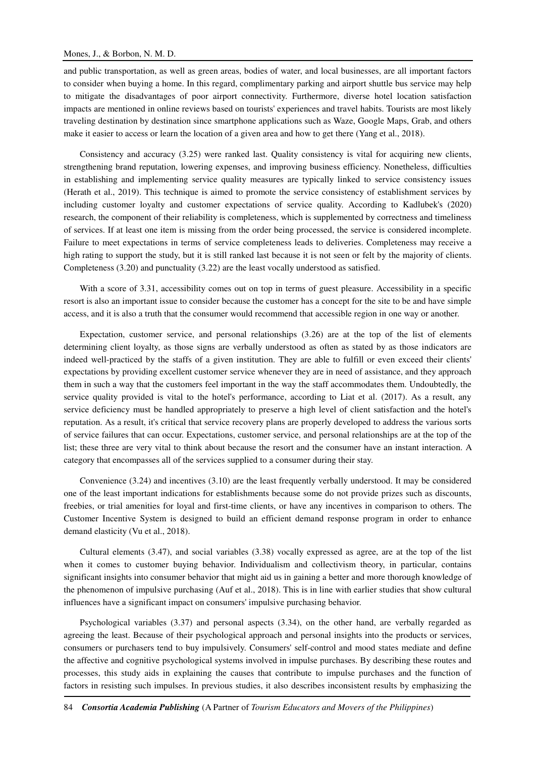### Mones, J., & Borbon, N. M. D.

and public transportation, as well as green areas, bodies of water, and local businesses, are all important factors to consider when buying a home. In this regard, complimentary parking and airport shuttle bus service may help to mitigate the disadvantages of poor airport connectivity. Furthermore, diverse hotel location satisfaction impacts are mentioned in online reviews based on tourists' experiences and travel habits. Tourists are most likely traveling destination by destination since smartphone applications such as Waze, Google Maps, Grab, and others make it easier to access or learn the location of a given area and how to get there (Yang et al., 2018).

Consistency and accuracy (3.25) were ranked last. Quality consistency is vital for acquiring new clients, strengthening brand reputation, lowering expenses, and improving business efficiency. Nonetheless, difficulties in establishing and implementing service quality measures are typically linked to service consistency issues (Herath et al., 2019). This technique is aimed to promote the service consistency of establishment services by including customer loyalty and customer expectations of service quality. According to Kadlubek's (2020) research, the component of their reliability is completeness, which is supplemented by correctness and timeliness of services. If at least one item is missing from the order being processed, the service is considered incomplete. Failure to meet expectations in terms of service completeness leads to deliveries. Completeness may receive a high rating to support the study, but it is still ranked last because it is not seen or felt by the majority of clients. Completeness (3.20) and punctuality (3.22) are the least vocally understood as satisfied.

With a score of 3.31, accessibility comes out on top in terms of guest pleasure. Accessibility in a specific resort is also an important issue to consider because the customer has a concept for the site to be and have simple access, and it is also a truth that the consumer would recommend that accessible region in one way or another.

Expectation, customer service, and personal relationships (3.26) are at the top of the list of elements determining client loyalty, as those signs are verbally understood as often as stated by as those indicators are indeed well-practiced by the staffs of a given institution. They are able to fulfill or even exceed their clients' expectations by providing excellent customer service whenever they are in need of assistance, and they approach them in such a way that the customers feel important in the way the staff accommodates them. Undoubtedly, the service quality provided is vital to the hotel's performance, according to Liat et al. (2017). As a result, any service deficiency must be handled appropriately to preserve a high level of client satisfaction and the hotel's reputation. As a result, it's critical that service recovery plans are properly developed to address the various sorts of service failures that can occur. Expectations, customer service, and personal relationships are at the top of the list; these three are very vital to think about because the resort and the consumer have an instant interaction. A category that encompasses all of the services supplied to a consumer during their stay.

Convenience (3.24) and incentives (3.10) are the least frequently verbally understood. It may be considered one of the least important indications for establishments because some do not provide prizes such as discounts, freebies, or trial amenities for loyal and first-time clients, or have any incentives in comparison to others. The Customer Incentive System is designed to build an efficient demand response program in order to enhance demand elasticity (Vu et al., 2018).

Cultural elements (3.47), and social variables (3.38) vocally expressed as agree, are at the top of the list when it comes to customer buying behavior. Individualism and collectivism theory, in particular, contains significant insights into consumer behavior that might aid us in gaining a better and more thorough knowledge of the phenomenon of impulsive purchasing (Auf et al., 2018). This is in line with earlier studies that show cultural influences have a significant impact on consumers' impulsive purchasing behavior.

Psychological variables (3.37) and personal aspects (3.34), on the other hand, are verbally regarded as agreeing the least. Because of their psychological approach and personal insights into the products or services, consumers or purchasers tend to buy impulsively. Consumers' self-control and mood states mediate and define the affective and cognitive psychological systems involved in impulse purchases. By describing these routes and processes, this study aids in explaining the causes that contribute to impulse purchases and the function of factors in resisting such impulses. In previous studies, it also describes inconsistent results by emphasizing the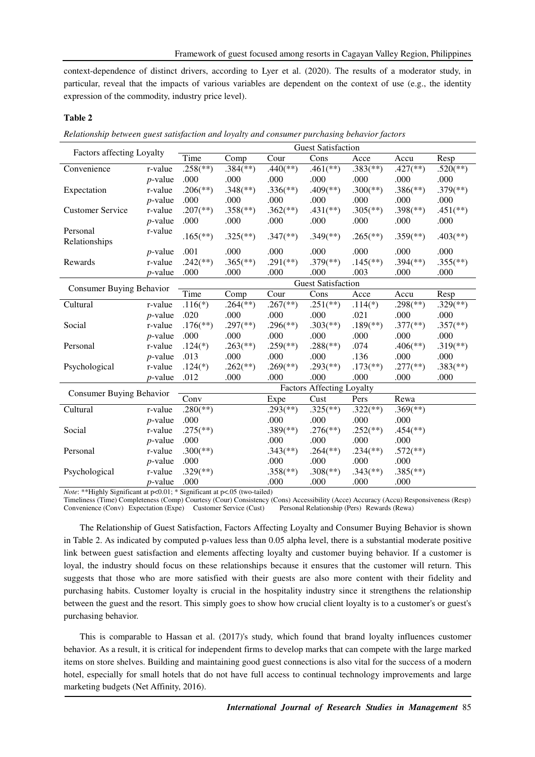context-dependence of distinct drivers, according to Lyer et al. (2020). The results of a moderator study, in particular, reveal that the impacts of various variables are dependent on the context of use (e.g., the identity expression of the commodity, industry price level).

# **Table 2**

*Relationship between guest satisfaction and loyalty and consumer purchasing behavior factors* 

| <b>Factors affecting Loyalty</b> |            | <b>Guest Satisfaction</b>        |                          |                          |                          |                          |                          |                          |
|----------------------------------|------------|----------------------------------|--------------------------|--------------------------|--------------------------|--------------------------|--------------------------|--------------------------|
|                                  |            | Time                             | Comp                     | Cour                     | Cons                     | Acce                     | Accu                     | Resp                     |
| Convenience                      | r-value    | $.258$ <sup>(**)</sup> )         | $.384$ <sup>(**)</sup> ) | $.440$ <sup>(**)</sup> ) | $.461$ <sup>(**)</sup> ) | $.383$ <sup>(**)</sup> ) | $.427$ <sup>(**)</sup> ) | $.520$ <sup>(**)</sup>   |
|                                  | $p$ -value | .000                             | .000                     | .000                     | .000                     | .000                     | .000                     | .000                     |
| Expectation                      | r-value    | $.206$ <sup>(**)</sup> )         | $.348$ <sup>(**)</sup> ) | $.336$ <sup>(**)</sup> ) | $.409$ <sup>(**)</sup> ) | $.300$ <sup>(**)</sup> ) | $.386$ <sup>(**)</sup> ) | $.379$ <sup>(**)</sup> ) |
|                                  | $p$ -value | .000                             | .000                     | .000                     | .000                     | .000                     | .000                     | .000                     |
| <b>Customer Service</b>          | r-value    | $.207$ <sup>(**)</sup> )         | $.358$ <sup>(**)</sup> ) | $.362$ <sup>(**)</sup> ) | $.431$ <sup>(**)</sup> ) | $.305$ <sup>(**)</sup> ) | $.398$ <sup>(**)</sup> ) | $.451$ <sup>(**)</sup> ) |
|                                  | $p$ -value | .000                             | .000                     | .000                     | .000                     | .000                     | .000                     | .000                     |
| Personal                         | r-value    | $.165$ <sup>(**)</sup> )         | $.325$ <sup>(**)</sup> ) |                          | $.349$ <sup>(**)</sup> ) |                          |                          |                          |
| Relationships                    |            |                                  |                          | $.347$ <sup>(**)</sup> ) |                          | $.265$ <sup>(**)</sup> ) | $.359$ <sup>(**)</sup> ) | $.403$ <sup>(**)</sup> ) |
|                                  | $p$ -value | .001                             | .000                     | .000                     | .000                     | .000                     | .000                     | .000                     |
| Rewards                          | r-value    | $.242$ <sup>**</sup> )           | $.365$ <sup>(**)</sup> ) | $.291$ <sup>(**)</sup>   | $.379$ <sup>(**)</sup> ) | $.145$ <sup>(**)</sup> ) | $.394$ <sup>(**)</sup> ) | $.355$ <sup>(**)</sup> ) |
|                                  | $p$ -value | .000                             | .000                     | .000                     | .000                     | .003                     | .000                     | .000                     |
| <b>Consumer Buying Behavior</b>  |            | <b>Guest Satisfaction</b>        |                          |                          |                          |                          |                          |                          |
|                                  |            | Time                             | Comp                     | Cour                     | Cons                     | Acce                     | Accu                     | Resp                     |
| Cultural                         | r-value    | $.116(*)$                        | $.264$ <sup>(**)</sup> ) | $.267$ <sup>(**)</sup> ) | $.251$ <sup>(**)</sup> ) | $.114(*)$                | $.298$ <sup>(**)</sup> ) | $.329$ <sup>(**)</sup> ) |
|                                  | $p$ -value | .020                             | .000                     | .000                     | .000                     | .021                     | .000                     | .000                     |
| Social                           | r-value    | $.176$ <sup>(**)</sup> )         | $.297$ <sup>(**)</sup> ) | $.296$ <sup>(**)</sup> ) | $.303$ <sup>(**)</sup> ) | $.189$ <sup>(**)</sup> ) | $.377$ <sup>(**)</sup> ) | $.357$ <sup>(**)</sup> ) |
|                                  | $p$ -value | .000                             | .000                     | .000                     | .000                     | .000                     | .000                     | .000                     |
| Personal                         | r-value    | $.124(*)$                        | $.263$ <sup>(**)</sup> ) | $.259$ <sup>(**)</sup> ) | $.288$ <sup>(**)</sup> ) | .074                     | $.406$ <sup>(**)</sup> ) | $.319$ <sup>(**)</sup> ) |
|                                  | $p$ -value | .013                             | .000                     | .000                     | .000                     | .136                     | .000                     | .000                     |
| Psychological                    | r-value    | $.124(*)$                        | $.262$ <sup>(**)</sup> ) | $.269$ <sup>(**)</sup> ) | $.293$ <sup>(**)</sup> ) | $.173$ <sup>(**)</sup> ) | $.277$ <sup>(**)</sup> ) | $.383$ <sup>(**)</sup> ) |
|                                  | $p$ -value | .012                             | .000                     | .000                     | .000                     | .000                     | .000                     | .000                     |
| Consumer Buying Behavior         |            | <b>Factors Affecting Loyalty</b> |                          |                          |                          |                          |                          |                          |
|                                  |            | Conv                             |                          | Expe                     | Cust                     | Pers                     | Rewa                     |                          |
| Cultural                         | r-value    | $.280$ <sup>(**)</sup> )         |                          | $.293$ <sup>(**)</sup> ) | $.325$ <sup>(**)</sup> ) | $.322$ (**)              | $.369$ <sup>(**)</sup> ) |                          |
|                                  | $p$ -value | .000                             |                          | .000                     | .000                     | .000                     | .000                     |                          |
| Social                           | r-value    | $.275$ <sup>(**)</sup> )         |                          | $.389$ <sup>(**)</sup> ) | $.276$ <sup>(**)</sup> ) | $.252$ <sup>(**)</sup> ) | $.454$ <sup>(**)</sup> ) |                          |
|                                  | $p$ -value | .000                             |                          | .000                     | .000                     | .000                     | .000                     |                          |
| Personal                         | r-value    | $.300$ <sup>(**)</sup> )         |                          | $.343$ <sup>(**)</sup> ) | $.264$ <sup>(**)</sup> ) | $.234$ <sup>(**)</sup> ) | $.572$ <sup>(**)</sup> ) |                          |
|                                  | $p$ -value | .000                             |                          | .000                     | .000                     | .000                     | .000                     |                          |
| Psychological                    | r-value    | $.329$ <sup>(**)</sup> )         |                          | $.358$ <sup>(**)</sup> ) | $.308$ <sup>(**)</sup> ) | $.343$ <sup>(**)</sup> ) | $.385$ <sup>(**)</sup> ) |                          |
|                                  | $p$ -value | .000                             |                          | .000                     | .000                     | .000                     | .000                     |                          |

*Note*: \*\*Highly Significant at p<0.01; \* Significant at p<.05 (two-tailed)

Timeliness (Time) Completeness (Comp) Courtesy (Cour) Consistency (Cons) Accessibility (Acce) Accuracy (Accu) Responsiveness (Resp) Convenience (Conv) Expectation (Expe) Customer Service (Cust) Personal Relationship (Pers) Rewards (Rewa)

The Relationship of Guest Satisfaction, Factors Affecting Loyalty and Consumer Buying Behavior is shown in Table 2. As indicated by computed p-values less than 0.05 alpha level, there is a substantial moderate positive link between guest satisfaction and elements affecting loyalty and customer buying behavior. If a customer is loyal, the industry should focus on these relationships because it ensures that the customer will return. This suggests that those who are more satisfied with their guests are also more content with their fidelity and purchasing habits. Customer loyalty is crucial in the hospitality industry since it strengthens the relationship between the guest and the resort. This simply goes to show how crucial client loyalty is to a customer's or guest's purchasing behavior.

This is comparable to Hassan et al. (2017)'s study, which found that brand loyalty influences customer behavior. As a result, it is critical for independent firms to develop marks that can compete with the large marked items on store shelves. Building and maintaining good guest connections is also vital for the success of a modern hotel, especially for small hotels that do not have full access to continual technology improvements and large marketing budgets (Net Affinity, 2016).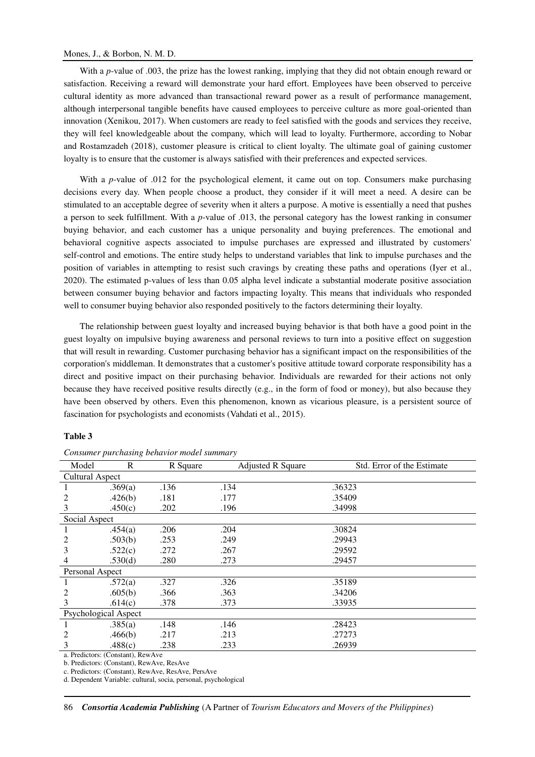### Mones, J., & Borbon, N. M. D.

With a *p*-value of .003, the prize has the lowest ranking, implying that they did not obtain enough reward or satisfaction. Receiving a reward will demonstrate your hard effort. Employees have been observed to perceive cultural identity as more advanced than transactional reward power as a result of performance management, although interpersonal tangible benefits have caused employees to perceive culture as more goal-oriented than innovation (Xenikou, 2017). When customers are ready to feel satisfied with the goods and services they receive, they will feel knowledgeable about the company, which will lead to loyalty. Furthermore, according to Nobar and Rostamzadeh (2018), customer pleasure is critical to client loyalty. The ultimate goal of gaining customer loyalty is to ensure that the customer is always satisfied with their preferences and expected services.

With a *p*-value of .012 for the psychological element, it came out on top. Consumers make purchasing decisions every day. When people choose a product, they consider if it will meet a need. A desire can be stimulated to an acceptable degree of severity when it alters a purpose. A motive is essentially a need that pushes a person to seek fulfillment. With a *p*-value of .013, the personal category has the lowest ranking in consumer buying behavior, and each customer has a unique personality and buying preferences. The emotional and behavioral cognitive aspects associated to impulse purchases are expressed and illustrated by customers' self-control and emotions. The entire study helps to understand variables that link to impulse purchases and the position of variables in attempting to resist such cravings by creating these paths and operations (Iyer et al., 2020). The estimated p-values of less than 0.05 alpha level indicate a substantial moderate positive association between consumer buying behavior and factors impacting loyalty. This means that individuals who responded well to consumer buying behavior also responded positively to the factors determining their loyalty.

The relationship between guest loyalty and increased buying behavior is that both have a good point in the guest loyalty on impulsive buying awareness and personal reviews to turn into a positive effect on suggestion that will result in rewarding. Customer purchasing behavior has a significant impact on the responsibilities of the corporation's middleman. It demonstrates that a customer's positive attitude toward corporate responsibility has a direct and positive impact on their purchasing behavior. Individuals are rewarded for their actions not only because they have received positive results directly (e.g., in the form of food or money), but also because they have been observed by others. Even this phenomenon, known as vicarious pleasure, is a persistent source of fascination for psychologists and economists (Vahdati et al., 2015).

## **Table 3**

| $\mathbb{R}$           | R Square | <b>Adjusted R Square</b> | Std. Error of the Estimate |
|------------------------|----------|--------------------------|----------------------------|
| <b>Cultural Aspect</b> |          |                          |                            |
| .369(a)                | .136     | .134                     | .36323                     |
| .426(b)                | .181     | .177                     | .35409                     |
| .450(c)                | .202     | .196                     | .34998                     |
| Social Aspect          |          |                          |                            |
| .454(a)                | .206     | .204                     | .30824                     |
| .503(b)                | .253     | .249                     | .29943                     |
| .522(c)                | .272     | .267                     | .29592                     |
| .530(d)                | .280     | .273                     | .29457                     |
| Personal Aspect        |          |                          |                            |
| .572(a)                | .327     | .326                     | .35189                     |
| .605(b)                | .366     | .363                     | .34206                     |
| .614(c)                | .378     | .373                     | .33935                     |
| Psychological Aspect   |          |                          |                            |
| .385(a)                | .148     | .146                     | .28423                     |
| .466(b)                | .217     | .213                     | .27273                     |
| .488(c)                | .238     | .233                     | .26939                     |
|                        |          |                          |                            |

*Consumer purchasing behavior model summary* 

a. Predictors: (Constant), RewAve

b. Predictors: (Constant), RewAve, ResAve

c. Predictors: (Constant), RewAve, ResAve, PersAve

d. Dependent Variable: cultural, socia, personal, psychological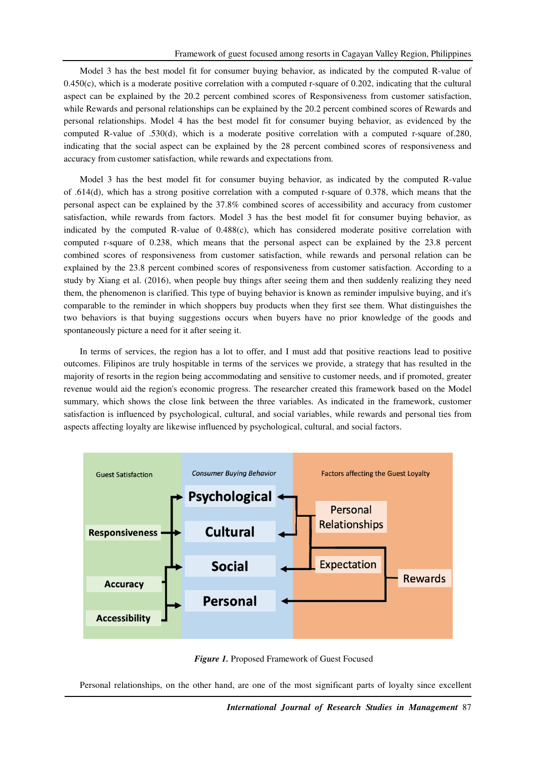Model 3 has the best model fit for consumer buying behavior, as indicated by the computed R-value of 0.450(c), which is a moderate positive correlation with a computed r-square of 0.202, indicating that the cultural aspect can be explained by the 20.2 percent combined scores of Responsiveness from customer satisfaction, while Rewards and personal relationships can be explained by the 20.2 percent combined scores of Rewards and personal relationships. Model 4 has the best model fit for consumer buying behavior, as evidenced by the computed R-value of .530(d), which is a moderate positive correlation with a computed r-square of.280, indicating that the social aspect can be explained by the 28 percent combined scores of responsiveness and accuracy from customer satisfaction, while rewards and expectations from.

Model 3 has the best model fit for consumer buying behavior, as indicated by the computed R-value of .614(d), which has a strong positive correlation with a computed r-square of 0.378, which means that the personal aspect can be explained by the 37.8% combined scores of accessibility and accuracy from customer satisfaction, while rewards from factors. Model 3 has the best model fit for consumer buying behavior, as indicated by the computed R-value of 0.488(c), which has considered moderate positive correlation with computed r-square of 0.238, which means that the personal aspect can be explained by the 23.8 percent combined scores of responsiveness from customer satisfaction, while rewards and personal relation can be explained by the 23.8 percent combined scores of responsiveness from customer satisfaction. According to a study by Xiang et al. (2016), when people buy things after seeing them and then suddenly realizing they need them, the phenomenon is clarified. This type of buying behavior is known as reminder impulsive buying, and it's comparable to the reminder in which shoppers buy products when they first see them. What distinguishes the two behaviors is that buying suggestions occurs when buyers have no prior knowledge of the goods and spontaneously picture a need for it after seeing it.

In terms of services, the region has a lot to offer, and I must add that positive reactions lead to positive outcomes. Filipinos are truly hospitable in terms of the services we provide, a strategy that has resulted in the majority of resorts in the region being accommodating and sensitive to customer needs, and if promoted, greater revenue would aid the region's economic progress. The researcher created this framework based on the Model summary, which shows the close link between the three variables. As indicated in the framework, customer satisfaction is influenced by psychological, cultural, and social variables, while rewards and personal ties from aspects affecting loyalty are likewise influenced by psychological, cultural, and social factors.





Personal relationships, on the other hand, are one of the most significant parts of loyalty since excellent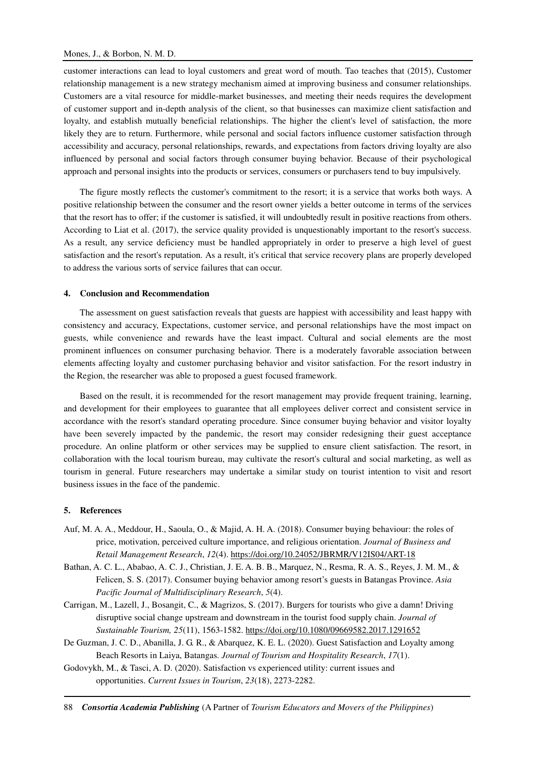customer interactions can lead to loyal customers and great word of mouth. Tao teaches that (2015), Customer relationship management is a new strategy mechanism aimed at improving business and consumer relationships. Customers are a vital resource for middle-market businesses, and meeting their needs requires the development of customer support and in-depth analysis of the client, so that businesses can maximize client satisfaction and loyalty, and establish mutually beneficial relationships. The higher the client's level of satisfaction, the more likely they are to return. Furthermore, while personal and social factors influence customer satisfaction through accessibility and accuracy, personal relationships, rewards, and expectations from factors driving loyalty are also influenced by personal and social factors through consumer buying behavior. Because of their psychological approach and personal insights into the products or services, consumers or purchasers tend to buy impulsively.

The figure mostly reflects the customer's commitment to the resort; it is a service that works both ways. A positive relationship between the consumer and the resort owner yields a better outcome in terms of the services that the resort has to offer; if the customer is satisfied, it will undoubtedly result in positive reactions from others. According to Liat et al. (2017), the service quality provided is unquestionably important to the resort's success. As a result, any service deficiency must be handled appropriately in order to preserve a high level of guest satisfaction and the resort's reputation. As a result, it's critical that service recovery plans are properly developed to address the various sorts of service failures that can occur.

## **4. Conclusion and Recommendation**

The assessment on guest satisfaction reveals that guests are happiest with accessibility and least happy with consistency and accuracy, Expectations, customer service, and personal relationships have the most impact on guests, while convenience and rewards have the least impact. Cultural and social elements are the most prominent influences on consumer purchasing behavior. There is a moderately favorable association between elements affecting loyalty and customer purchasing behavior and visitor satisfaction. For the resort industry in the Region, the researcher was able to proposed a guest focused framework.

Based on the result, it is recommended for the resort management may provide frequent training, learning, and development for their employees to guarantee that all employees deliver correct and consistent service in accordance with the resort's standard operating procedure. Since consumer buying behavior and visitor loyalty have been severely impacted by the pandemic, the resort may consider redesigning their guest acceptance procedure. An online platform or other services may be supplied to ensure client satisfaction. The resort, in collaboration with the local tourism bureau, may cultivate the resort's cultural and social marketing, as well as tourism in general. Future researchers may undertake a similar study on tourist intention to visit and resort business issues in the face of the pandemic.

### **5. References**

- Auf, M. A. A., Meddour, H., Saoula, O., & Majid, A. H. A. (2018). Consumer buying behaviour: the roles of price, motivation, perceived culture importance, and religious orientation. *Journal of Business and Retail Management Research*, *12*(4). https://doi.org/10.24052/JBRMR/V12IS04/ART-18
- Bathan, A. C. L., Ababao, A. C. J., Christian, J. E. A. B. B., Marquez, N., Resma, R. A. S., Reyes, J. M. M., & Felicen, S. S. (2017). Consumer buying behavior among resort's guests in Batangas Province. *Asia Pacific Journal of Multidisciplinary Research*, *5*(4).
- Carrigan, M., Lazell, J., Bosangit, C., & Magrizos, S. (2017). Burgers for tourists who give a damn! Driving disruptive social change upstream and downstream in the tourist food supply chain. *Journal of Sustainable Tourism, 25*(11), 1563-1582. https://doi.org/10.1080/09669582.2017.1291652
- De Guzman, J. C. D., Abanilla, J. G. R., & Abarquez, K. E. L. (2020). Guest Satisfaction and Loyalty among Beach Resorts in Laiya, Batangas. *Journal of Tourism and Hospitality Research*, *17*(1).
- Godovykh, M., & Tasci, A. D. (2020). Satisfaction vs experienced utility: current issues and opportunities. *Current Issues in Tourism*, *23*(18), 2273-2282.